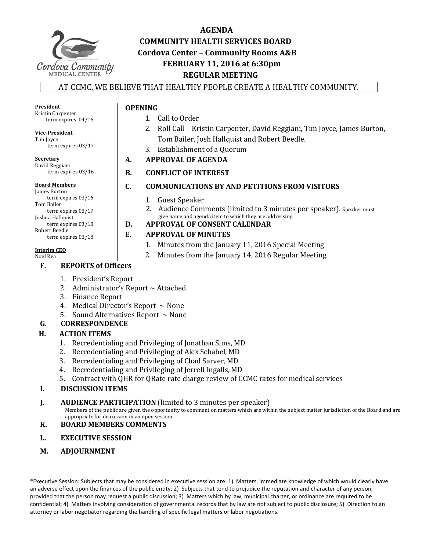

# **AGENDA COMMUNITY HEALTH SERVICES BOARD Cordova Center – Community Rooms A&B FEBRUARY 11, 2016 at 6:30pm REGULAR MEETING**

## AT CCMC, WE BELIEVE THAT HEALTHY PEOPLE CREATE A HEALTHY COMMUNITY.

**President** Kristin Carpenter term expires  $04/16$ 

**Vice‐President** Tim Joyce 

term expires 03/17

**Secretary** David Reggiani term expires 03/16

#### **Board Members**

James Burton term expires 03/16 Tom Bailer term expires 03/17 Joshua Hallquist term expires 03/18 Robert Beedle term expires 03/18

#### **Interim** CEO

Noel Rea

- **F. REPORTS of Officers**
	- 1. President's Report
	- 2. Administrator's Report  $\sim$  Attached
	- 3. Finance Report
	- 4. Medical Director's Report  $\sim$  None
	- 5. Sound Alternatives Report  $\sim$  None
- **G. CORRESPONDENCE**

## **H. ACTION ITEMS**

- 1. Recredentialing and Privileging of Jonathan Sims, MD
- 2. Recredentialing and Privileging of Alex Schabel, MD
- 3. Recredentialing and Privileging of Chad Sarver, MD
- 4. Recredentialing and Privileging of Jerrell Ingalls, MD
- 5. Contract with QHR for QRate rate charge review of CCMC rates for medical services

## **I. DISCUSSION ITEMS**

**J. AUDIENCE PARTICIPATION** (limited to 3 minutes per speaker)

Members of the public are given the opportunity to comment on matters which are within the subject matter jurisdiction of the Board and are appropriate for discussion in an open session.

- **K. BOARD MEMBERS COMMENTS**
- **L. EXECUTIVE SESSION**
- **M. ADJOURNMENT**

\*Executive Session: Subjects that may be considered in executive session are: 1) Matters, immediate knowledge of which would clearly have an adverse effect upon the finances of the public entity; 2) Subjects that tend to prejudice the reputation and character of any person, provided that the person may request a public discussion; 3) Matters which by law, municipal charter, or ordinance are required to be confidential; 4) Matters involving consideration of governmental records that by law are not subject to public disclosure; 5) Direction to an attorney or labor negotiator regarding the handling of specific legal matters or labor negotiations.

- **OPENING**
	- 1. Call to Order
	- 2. Roll Call Kristin Carpenter, David Reggiani, Tim Joyce, James Burton, Tom Bailer, Josh Hallquist and Robert Beedle.
	- 3. Establishment of a Quorum
- **A. APPROVAL OF AGENDA**

## **B. CONFLICT OF INTEREST**

## **C. COMMUNICATIONS BY AND PETITIONS FROM VISITORS**

2. Audience Comments (limited to 3 minutes per speaker). Speaker must give name and agenda item to which they are addressing.

#### **D. APPROVAL OF CONSENT CALENDAR**

## **E. APPROVAL OF MINUTES**

- 1. Minutes from the January 11, 2016 Special Meeting
- 2. Minutes from the January 14, 2016 Regular Meeting
- 1. Guest Speaker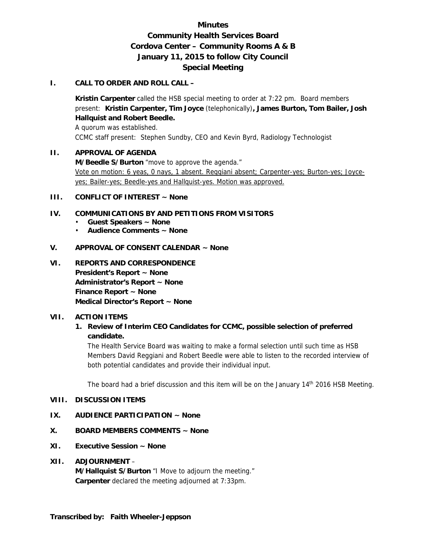# **Minutes Community Health Services Board Cordova Center – Community Rooms A & B January 11, 2015 to follow City Council Special Meeting**

### **I. CALL TO ORDER AND ROLL CALL –**

**Kristin Carpenter** called the HSB special meeting to order at 7:22 pm. Board members present: **Kristin Carpenter, Tim Joyce** (telephonically)**, James Burton, Tom Bailer, Josh Hallquist and Robert Beedle.** 

A quorum was established. CCMC staff present: Stephen Sundby, CEO and Kevin Byrd, Radiology Technologist

## **II. APPROVAL OF AGENDA**

 **M/Beedle S/Burton** "move to approve the agenda." Vote on motion: 6 yeas, 0 nays, 1 absent. Reggiani absent; Carpenter-yes; Burton-yes; Joyceyes; Bailer-yes; Beedle-yes and Hallquist-yes. Motion was approved.

## **III. CONFLICT OF INTEREST ~ None**

## **IV. COMMUNICATIONS BY AND PETITIONS FROM VISITORS**

- **Guest Speakers ~ None**
- **Audience Comments ~ None**

## **V. APPROVAL OF CONSENT CALENDAR ~ None**

**VI. REPORTS AND CORRESPONDENCE President's Report ~ None Administrator's Report ~ None Finance Report ~ None Medical Director's Report ~ None** 

#### **VII. ACTION ITEMS**

## **1. Review of Interim CEO Candidates for CCMC, possible selection of preferred candidate.**

The Health Service Board was waiting to make a formal selection until such time as HSB Members David Reggiani and Robert Beedle were able to listen to the recorded interview of both potential candidates and provide their individual input.

The board had a brief discussion and this item will be on the January  $14<sup>th</sup>$  2016 HSB Meeting.

#### **VIII. DISCUSSION ITEMS**

#### **IX. AUDIENCE PARTICIPATION ~ None**

#### **X. BOARD MEMBERS COMMENTS ~ None**

#### **XI. Executive Session ~ None**

#### **XII. ADJOURNMENT** –

**M/Hallquist S/Burton** "I Move to adjourn the meeting." **Carpenter** declared the meeting adjourned at 7:33pm.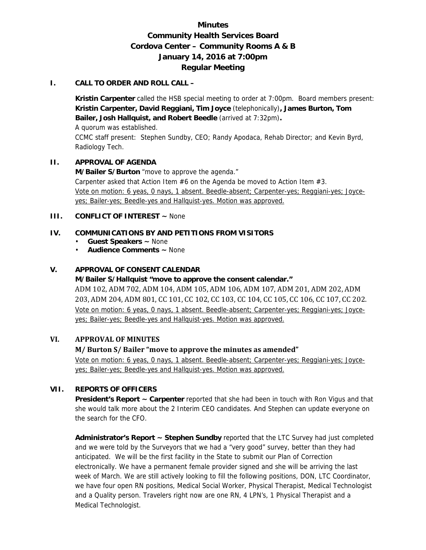## **Minutes Community Health Services Board Cordova Center – Community Rooms A & B January 14, 2016 at 7:00pm Regular Meeting**

### **I. CALL TO ORDER AND ROLL CALL –**

**Kristin Carpenter** called the HSB special meeting to order at 7:00pm. Board members present: **Kristin Carpenter, David Reggiani, Tim Joyce** (telephonically)**, James Burton, Tom Bailer, Josh Hallquist, and Robert Beedle** (arrived at 7:32pm)**.** 

A quorum was established.

CCMC staff present: Stephen Sundby, CEO; Randy Apodaca, Rehab Director; and Kevin Byrd, Radiology Tech.

## **II. APPROVAL OF AGENDA**

 **M/Bailer S/Burton** "move to approve the agenda." Carpenter asked that Action Item #6 on the Agenda be moved to Action Item #3. Vote on motion: 6 yeas, 0 nays, 1 absent. Beedle-absent; Carpenter-yes; Reggiani-yes; Joyceyes; Bailer-yes; Beedle-yes and Hallquist-yes. Motion was approved.

#### **III. CONFLICT OF INTEREST ~ None**

## **IV. COMMUNICATIONS BY AND PETITIONS FROM VISITORS**

- **Guest Speakers ~** None
- **Audience Comments ~** None

## **V. APPROVAL OF CONSENT CALENDAR**

#### **M/Bailer S/Hallquist "move to approve the consent calendar."**

ADM 102, ADM 702, ADM 104, ADM 105, ADM 106, ADM 107, ADM 201, ADM 202, ADM 203, ADM 204, ADM 801, CC 101, CC 102, CC 103, CC 104, CC 105, CC 106, CC 107, CC 202. Vote on motion: 6 yeas, 0 nays, 1 absent. Beedle-absent; Carpenter-yes; Reggiani-yes; Joyceyes; Bailer-yes; Beedle-yes and Hallquist-yes. Motion was approved.

#### **VI. APPROVAL OF MINUTES**

## **M/ Burton S/ Bailer "move to approve the minutes as amended"**

Vote on motion: 6 yeas, 0 nays, 1 absent. Beedle-absent; Carpenter-yes; Reggiani-yes; Joyceyes; Bailer-yes; Beedle-yes and Hallquist-yes. Motion was approved.

## **VII. REPORTS OF OFFICERS**

**President's Report ~ Carpenter** reported that she had been in touch with Ron Vigus and that she would talk more about the 2 Interim CEO candidates. And Stephen can update everyone on the search for the CFO.

**Administrator's Report ~ Stephen Sundby** reported that the LTC Survey had just completed and we were told by the Surveyors that we had a "very good" survey, better than they had anticipated. We will be the first facility in the State to submit our Plan of Correction electronically. We have a permanent female provider signed and she will be arriving the last week of March. We are still actively looking to fill the following positions, DON, LTC Coordinator, we have four open RN positions, Medical Social Worker, Physical Therapist, Medical Technologist and a Quality person. Travelers right now are one RN, 4 LPN's, 1 Physical Therapist and a Medical Technologist.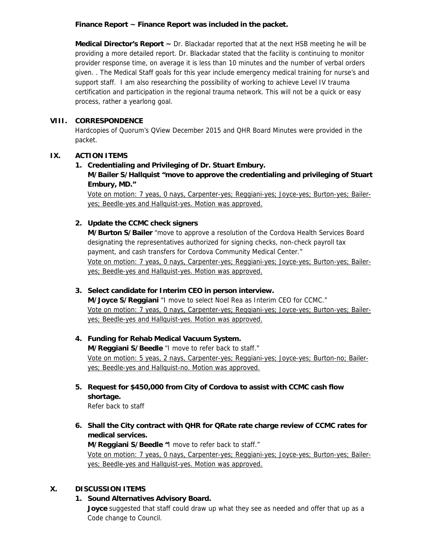## **Finance Report ~ Finance Report was included in the packet.**

**Medical Director's Report ~** Dr. Blackadar reported that at the next HSB meeting he will be providing a more detailed report. Dr. Blackadar stated that the facility is continuing to monitor provider response time, on average it is less than 10 minutes and the number of verbal orders given. . The Medical Staff goals for this year include emergency medical training for nurse's and support staff. I am also researching the possibility of working to achieve Level IV trauma certification and participation in the regional trauma network. This will not be a quick or easy process, rather a yearlong goal.

## **VIII. CORRESPONDENCE**

Hardcopies of Quorum's QView December 2015 and QHR Board Minutes were provided in the packet.

## **IX. ACTION ITEMS**

## **1. Credentialing and Privileging of Dr. Stuart Embury.**

**M/Bailer S/Hallquist "move to approve the credentialing and privileging of Stuart Embury, MD."**

Vote on motion: 7 yeas, 0 nays, Carpenter-yes; Reggiani-yes; Joyce-yes; Burton-yes; Baileryes; Beedle-yes and Hallquist-yes. Motion was approved.

## **2. Update the CCMC check signers**

**M/Burton S/Bailer** "move to approve a resolution of the Cordova Health Services Board designating the representatives authorized for signing checks, non-check payroll tax payment, and cash transfers for Cordova Community Medical Center." Vote on motion: 7 yeas, 0 nays, Carpenter-yes; Reggiani-yes; Joyce-yes; Burton-yes; Baileryes; Beedle-yes and Hallquist-yes. Motion was approved.

### **3. Select candidate for Interim CEO in person interview.**

**M/Joyce S/Reggiani** "I move to select Noel Rea as Interim CEO for CCMC." Vote on motion: 7 yeas, 0 nays, Carpenter-yes; Reggiani-yes; Joyce-yes; Burton-yes; Baileryes; Beedle-yes and Hallquist-yes. Motion was approved.

#### **4. Funding for Rehab Medical Vacuum System.**

**M/Reggiani S/Beedle** "I move to refer back to staff." Vote on motion: 5 yeas, 2 nays, Carpenter-yes; Reggiani-yes; Joyce-yes; Burton-no; Baileryes; Beedle-yes and Hallquist-no. Motion was approved.

**5. Request for \$450,000 from City of Cordova to assist with CCMC cash flow shortage.** 

Refer back to staff

**6. Shall the City contract with QHR for QRate rate charge review of CCMC rates for medical services.** 

**M/Reggiani S/Beedle "**I move to refer back to staff." Vote on motion: 7 yeas, 0 nays, Carpenter-yes; Reggiani-yes; Joyce-yes; Burton-yes; Baileryes; Beedle-yes and Hallquist-yes. Motion was approved.

### **X. DISCUSSION ITEMS**

## **1. Sound Alternatives Advisory Board.**

**Joyce** suggested that staff could draw up what they see as needed and offer that up as a Code change to Council.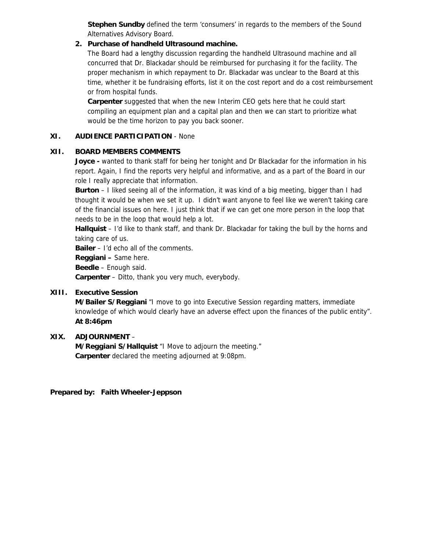**Stephen Sundby** defined the term 'consumers' in regards to the members of the Sound Alternatives Advisory Board.

### **2. Purchase of handheld Ultrasound machine.**

The Board had a lengthy discussion regarding the handheld Ultrasound machine and all concurred that Dr. Blackadar should be reimbursed for purchasing it for the facility. The proper mechanism in which repayment to Dr. Blackadar was unclear to the Board at this time, whether it be fundraising efforts, list it on the cost report and do a cost reimbursement or from hospital funds.

**Carpenter** suggested that when the new Interim CEO gets here that he could start compiling an equipment plan and a capital plan and then we can start to prioritize what would be the time horizon to pay you back sooner.

### **XI. AUDIENCE PARTICIPATION** - None

#### **XII. BOARD MEMBERS COMMENTS**

**Joyce -** wanted to thank staff for being her tonight and Dr Blackadar for the information in his report. Again, I find the reports very helpful and informative, and as a part of the Board in our role I really appreciate that information.

**Burton** – I liked seeing all of the information, it was kind of a big meeting, bigger than I had thought it would be when we set it up. I didn't want anyone to feel like we weren't taking care of the financial issues on here. I just think that if we can get one more person in the loop that needs to be in the loop that would help a lot.

**Hallquist** – I'd like to thank staff, and thank Dr. Blackadar for taking the bull by the horns and taking care of us.

**Bailer** – I'd echo all of the comments.

**Reggiani –** Same here.

**Beedle** – Enough said.

**Carpenter** – Ditto, thank you very much, everybody.

## **XIII. Executive Session**

**M/Bailer S/Reggiani** "I move to go into Executive Session regarding matters, immediate knowledge of which would clearly have an adverse effect upon the finances of the public entity". **At 8:46pm** 

## **XIX. ADJOURNMENT** –

**M/Reggiani S/Hallquist** "I Move to adjourn the meeting." **Carpenter** declared the meeting adjourned at 9:08pm.

**Prepared by: Faith Wheeler-Jeppson**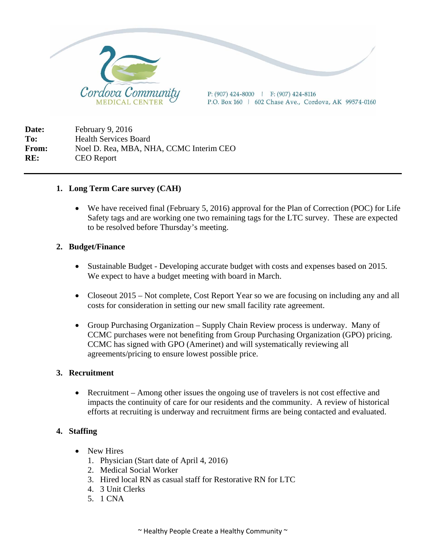

**Date:** February 9, 2016 **To:** Health Services Board **From:** Noel D. Rea, MBA, NHA, CCMC Interim CEO **RE:** CEO Report

## **1. Long Term Care survey (CAH)**

 We have received final (February 5, 2016) approval for the Plan of Correction (POC) for Life Safety tags and are working one two remaining tags for the LTC survey. These are expected to be resolved before Thursday's meeting.

## **2. Budget/Finance**

- Sustainable Budget Developing accurate budget with costs and expenses based on 2015. We expect to have a budget meeting with board in March.
- Closeout 2015 Not complete, Cost Report Year so we are focusing on including any and all costs for consideration in setting our new small facility rate agreement.
- Group Purchasing Organization Supply Chain Review process is underway. Many of CCMC purchases were not benefiting from Group Purchasing Organization (GPO) pricing. CCMC has signed with GPO (Amerinet) and will systematically reviewing all agreements/pricing to ensure lowest possible price.

#### **3. Recruitment**

• Recruitment – Among other issues the ongoing use of travelers is not cost effective and impacts the continuity of care for our residents and the community. A review of historical efforts at recruiting is underway and recruitment firms are being contacted and evaluated.

## **4. Staffing**

- New Hires
	- 1. Physician (Start date of April 4, 2016)
	- 2. Medical Social Worker
	- 3. Hired local RN as casual staff for Restorative RN for LTC
	- 4. 3 Unit Clerks
	- 5. 1 CNA

 $\sim$  Healthy People Create a Healthy Community  $\sim$